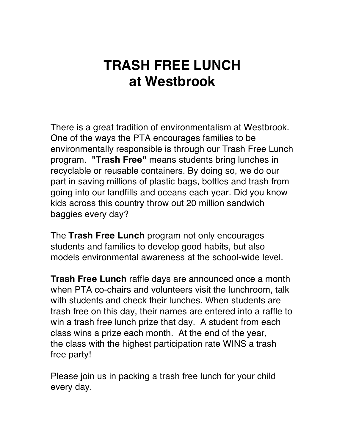## **TRASH FREE LUNCH at Westbrook**

There is a great tradition of environmentalism at Westbrook. One of the ways the PTA encourages families to be environmentally responsible is through our Trash Free Lunch program. **"Trash Free"** means students bring lunches in recyclable or reusable containers. By doing so, we do our part in saving millions of plastic bags, bottles and trash from going into our landfills and oceans each year. Did you know kids across this country throw out 20 million sandwich baggies every day?

The **Trash Free Lunch** program not only encourages students and families to develop good habits, but also models environmental awareness at the school-wide level.

**Trash Free Lunch** raffle days are announced once a month when PTA co-chairs and volunteers visit the lunchroom, talk with students and check their lunches. When students are trash free on this day, their names are entered into a raffle to win a trash free lunch prize that day. A student from each class wins a prize each month. At the end of the year, the class with the highest participation rate WINS a trash free party!

Please join us in packing a trash free lunch for your child every day.